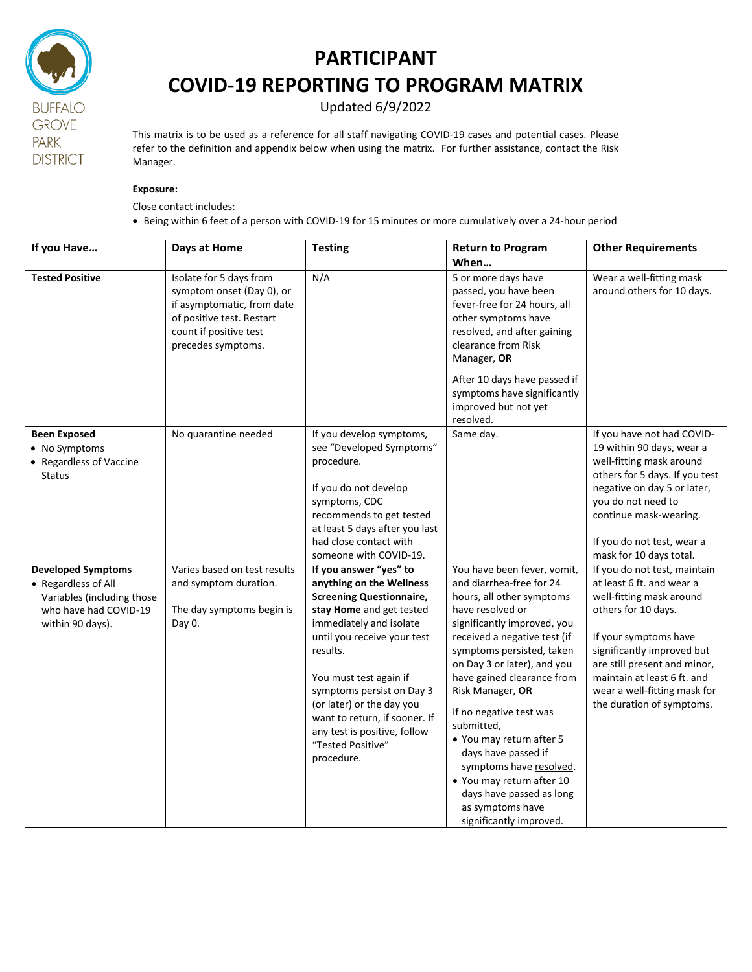

## **PARTICIPANT COVID-19 REPORTING TO PROGRAM MATRIX**

Updated 6/9/2022

This matrix is to be used as a reference for all staff navigating COVID-19 cases and potential cases. Please refer to the definition and appendix below when using the matrix. For further assistance, contact the Risk Manager.

## **Exposure:**

Close contact includes:

Being within 6 feet of a person with COVID-19 for 15 minutes or more cumulatively over a 24-hour period

| If you Have                                                                                                                 | Days at Home                                                                                                                                                    | <b>Testing</b>                                                                                                                                                                                                                                                                                                                                                                  | <b>Return to Program</b><br>When                                                                                                                                                                                                                                                                                                                                                                                                                                                                                     | <b>Other Requirements</b>                                                                                                                                                                                                                                                                       |
|-----------------------------------------------------------------------------------------------------------------------------|-----------------------------------------------------------------------------------------------------------------------------------------------------------------|---------------------------------------------------------------------------------------------------------------------------------------------------------------------------------------------------------------------------------------------------------------------------------------------------------------------------------------------------------------------------------|----------------------------------------------------------------------------------------------------------------------------------------------------------------------------------------------------------------------------------------------------------------------------------------------------------------------------------------------------------------------------------------------------------------------------------------------------------------------------------------------------------------------|-------------------------------------------------------------------------------------------------------------------------------------------------------------------------------------------------------------------------------------------------------------------------------------------------|
| <b>Tested Positive</b>                                                                                                      | Isolate for 5 days from<br>symptom onset (Day 0), or<br>if asymptomatic, from date<br>of positive test. Restart<br>count if positive test<br>precedes symptoms. | N/A                                                                                                                                                                                                                                                                                                                                                                             | 5 or more days have<br>passed, you have been<br>fever-free for 24 hours, all<br>other symptoms have<br>resolved, and after gaining<br>clearance from Risk<br>Manager, OR<br>After 10 days have passed if<br>symptoms have significantly<br>improved but not yet<br>resolved.                                                                                                                                                                                                                                         | Wear a well-fitting mask<br>around others for 10 days.                                                                                                                                                                                                                                          |
| <b>Been Exposed</b><br>• No Symptoms<br>• Regardless of Vaccine<br><b>Status</b>                                            | No quarantine needed                                                                                                                                            | If you develop symptoms,<br>see "Developed Symptoms"<br>procedure.<br>If you do not develop<br>symptoms, CDC<br>recommends to get tested<br>at least 5 days after you last<br>had close contact with<br>someone with COVID-19.                                                                                                                                                  | Same day.                                                                                                                                                                                                                                                                                                                                                                                                                                                                                                            | If you have not had COVID-<br>19 within 90 days, wear a<br>well-fitting mask around<br>others for 5 days. If you test<br>negative on day 5 or later,<br>you do not need to<br>continue mask-wearing.<br>If you do not test, wear a<br>mask for 10 days total.                                   |
| <b>Developed Symptoms</b><br>• Regardless of All<br>Variables (including those<br>who have had COVID-19<br>within 90 days). | Varies based on test results<br>and symptom duration.<br>The day symptoms begin is<br>Day 0.                                                                    | If you answer "yes" to<br>anything on the Wellness<br><b>Screening Questionnaire,</b><br>stay Home and get tested<br>immediately and isolate<br>until you receive your test<br>results.<br>You must test again if<br>symptoms persist on Day 3<br>(or later) or the day you<br>want to return, if sooner. If<br>any test is positive, follow<br>"Tested Positive"<br>procedure. | You have been fever, vomit,<br>and diarrhea-free for 24<br>hours, all other symptoms<br>have resolved or<br>significantly improved, you<br>received a negative test (if<br>symptoms persisted, taken<br>on Day 3 or later), and you<br>have gained clearance from<br>Risk Manager, OR<br>If no negative test was<br>submitted,<br>• You may return after 5<br>days have passed if<br>symptoms have resolved.<br>• You may return after 10<br>days have passed as long<br>as symptoms have<br>significantly improved. | If you do not test, maintain<br>at least 6 ft. and wear a<br>well-fitting mask around<br>others for 10 days.<br>If your symptoms have<br>significantly improved but<br>are still present and minor,<br>maintain at least 6 ft. and<br>wear a well-fitting mask for<br>the duration of symptoms. |